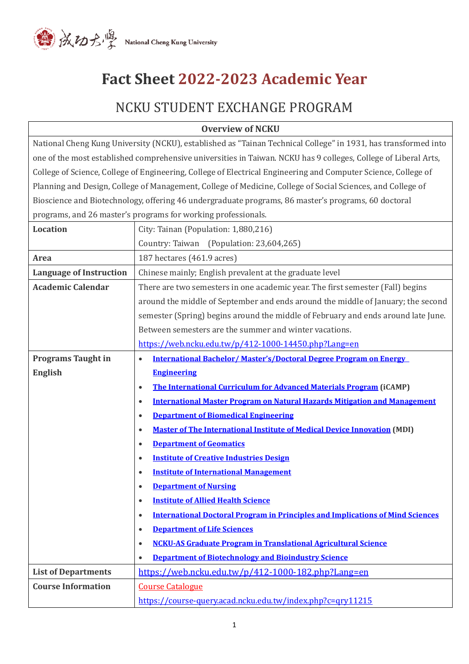

# **Fact Sheet 2022-2023 Academic Year**

# NCKU STUDENT EXCHANGE PROGRAM

| <b>Overview of NCKU</b>                                                                                         |                                                                                                     |
|-----------------------------------------------------------------------------------------------------------------|-----------------------------------------------------------------------------------------------------|
| National Cheng Kung University (NCKU), established as "Tainan Technical College" in 1931, has transformed into  |                                                                                                     |
| one of the most established comprehensive universities in Taiwan. NCKU has 9 colleges, College of Liberal Arts, |                                                                                                     |
| College of Science, College of Engineering, College of Electrical Engineering and Computer Science, College of  |                                                                                                     |
| Planning and Design, College of Management, College of Medicine, College of Social Sciences, and College of     |                                                                                                     |
|                                                                                                                 | Bioscience and Biotechnology, offering 46 undergraduate programs, 86 master's programs, 60 doctoral |
|                                                                                                                 | programs, and 26 master's programs for working professionals.                                       |
| <b>Location</b>                                                                                                 | City: Tainan (Population: 1,880,216)                                                                |
|                                                                                                                 | Country: Taiwan (Population: 23,604,265)                                                            |
| <b>Area</b>                                                                                                     | 187 hectares (461.9 acres)                                                                          |
| <b>Language of Instruction</b>                                                                                  | Chinese mainly; English prevalent at the graduate level                                             |
| <b>Academic Calendar</b>                                                                                        | There are two semesters in one academic year. The first semester (Fall) begins                      |
|                                                                                                                 | around the middle of September and ends around the middle of January; the second                    |
|                                                                                                                 | semester (Spring) begins around the middle of February and ends around late June.                   |
|                                                                                                                 | Between semesters are the summer and winter vacations.                                              |
|                                                                                                                 | https://web.ncku.edu.tw/p/412-1000-14450.php?Lang=en                                                |
| <b>Programs Taught in</b>                                                                                       | <b>International Bachelor/Master's/Doctoral Degree Program on Energy</b><br>$\bullet$               |
| <b>English</b>                                                                                                  | <b>Engineering</b>                                                                                  |
|                                                                                                                 | The International Curriculum for Advanced Materials Program (iCAMP)<br>$\bullet$                    |
|                                                                                                                 | <b>International Master Program on Natural Hazards Mitigation and Management</b><br>$\bullet$       |
|                                                                                                                 | <b>Department of Biomedical Engineering</b><br>$\bullet$                                            |
|                                                                                                                 | <b>Master of The International Institute of Medical Device Innovation (MDI)</b><br>$\bullet$        |
|                                                                                                                 | <b>Department of Geomatics</b><br>$\bullet$                                                         |
|                                                                                                                 | <b>Institute of Creative Industries Design</b><br>$\bullet$                                         |
|                                                                                                                 | <b>Institute of International Management</b>                                                        |
|                                                                                                                 | <b>Department of Nursing</b><br>$\bullet$                                                           |
|                                                                                                                 | <b>Institute of Allied Health Science</b><br>$\bullet$                                              |
|                                                                                                                 | <b>International Doctoral Program in Principles and Implications of Mind Sciences</b><br>$\bullet$  |
|                                                                                                                 | <b>Department of Life Sciences</b><br>$\bullet$                                                     |
|                                                                                                                 | <b>NCKU-AS Graduate Program in Translational Agricultural Science</b><br>$\bullet$                  |
|                                                                                                                 | <b>Department of Biotechnology and Bioindustry Science</b><br>$\bullet$                             |
| <b>List of Departments</b>                                                                                      | https://web.ncku.edu.tw/p/412-1000-182.php?Lang=en                                                  |
| <b>Course Information</b>                                                                                       | <b>Course Catalogue</b>                                                                             |
|                                                                                                                 | https://course-query.acad.ncku.edu.tw/index.php?c=qry11215                                          |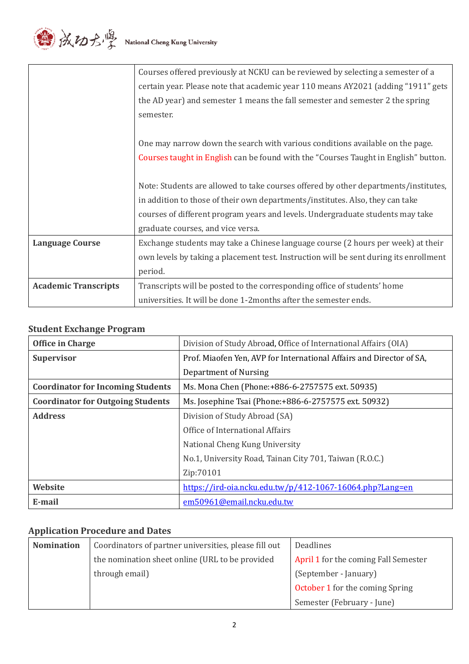

|                             | Courses offered previously at NCKU can be reviewed by selecting a semester of a       |
|-----------------------------|---------------------------------------------------------------------------------------|
|                             | certain year. Please note that academic year 110 means AY2021 (adding "1911" gets     |
|                             | the AD year) and semester 1 means the fall semester and semester 2 the spring         |
|                             | semester.                                                                             |
|                             |                                                                                       |
|                             | One may narrow down the search with various conditions available on the page.         |
|                             | Courses taught in English can be found with the "Courses Taught in English" button.   |
|                             |                                                                                       |
|                             | Note: Students are allowed to take courses offered by other departments/institutes,   |
|                             | in addition to those of their own departments/institutes. Also, they can take         |
|                             | courses of different program years and levels. Undergraduate students may take        |
|                             | graduate courses, and vice versa.                                                     |
| <b>Language Course</b>      | Exchange students may take a Chinese language course (2 hours per week) at their      |
|                             | own levels by taking a placement test. Instruction will be sent during its enrollment |
|                             | period.                                                                               |
| <b>Academic Transcripts</b> | Transcripts will be posted to the corresponding office of students' home              |
|                             | universities. It will be done 1-2months after the semester ends.                      |

# **Student Exchange Program**

| <b>Office in Charge</b>                  | Division of Study Abroad, Office of International Affairs (OIA)      |
|------------------------------------------|----------------------------------------------------------------------|
| <b>Supervisor</b>                        | Prof. Miaofen Yen, AVP for International Affairs and Director of SA, |
|                                          | Department of Nursing                                                |
| <b>Coordinator for Incoming Students</b> | Ms. Mona Chen (Phone: +886-6-2757575 ext. 50935)                     |
| <b>Coordinator for Outgoing Students</b> | Ms. Josephine Tsai (Phone: +886-6-2757575 ext. 50932)                |
| <b>Address</b>                           | Division of Study Abroad (SA)                                        |
|                                          | Office of International Affairs                                      |
|                                          | National Cheng Kung University                                       |
|                                          | No.1, University Road, Tainan City 701, Taiwan (R.O.C.)              |
|                                          | Zip:70101                                                            |
| Website                                  | https://ird-oia.ncku.edu.tw/p/412-1067-16064.php?Lang=en             |
| E-mail                                   | em50961@email.ncku.edu.tw                                            |

# **Application Procedure and Dates**

| <b>Nomination</b> | Coordinators of partner universities, please fill out | Deadlines                              |
|-------------------|-------------------------------------------------------|----------------------------------------|
|                   | the nomination sheet online (URL to be provided       | April 1 for the coming Fall Semester   |
|                   | through email)                                        | (September - January)                  |
|                   |                                                       | <b>October 1</b> for the coming Spring |
|                   |                                                       | Semester (February - June)             |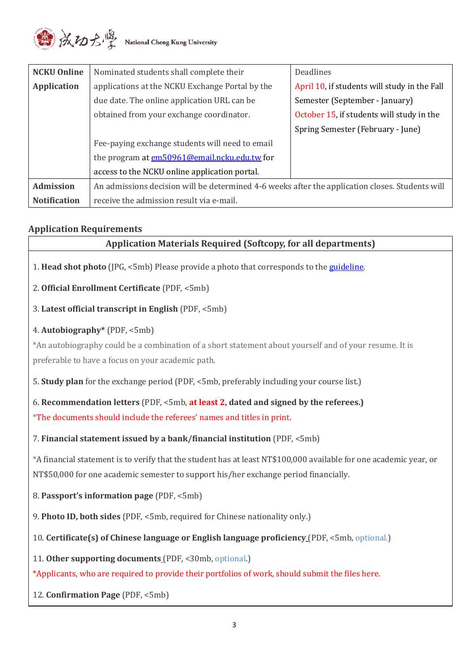

| <b>NCKU Online</b>  | Nominated students shall complete their                                                         | Deadlines                                    |
|---------------------|-------------------------------------------------------------------------------------------------|----------------------------------------------|
| <b>Application</b>  | applications at the NCKU Exchange Portal by the                                                 | April 10, if students will study in the Fall |
|                     | due date. The online application URL can be                                                     | Semester (September - January)               |
|                     | obtained from your exchange coordinator.                                                        | October 15, if students will study in the    |
|                     |                                                                                                 | Spring Semester (February - June)            |
|                     | Fee-paying exchange students will need to email                                                 |                                              |
|                     | the program at em50961@email.ncku.edu.tw for                                                    |                                              |
|                     | access to the NCKU online application portal.                                                   |                                              |
| <b>Admission</b>    | An admissions decision will be determined 4-6 weeks after the application closes. Students will |                                              |
| <b>Notification</b> | receive the admission result via e-mail.                                                        |                                              |

## **Application Requirements**

| <b>Application Materials Required (Softcopy, for all departments)</b>                                             |
|-------------------------------------------------------------------------------------------------------------------|
| 1. Head shot photo (JPG, <5mb) Please provide a photo that corresponds to the guideline.                          |
| 2. Official Enrollment Certificate (PDF, <5mb)                                                                    |
| 3. Latest official transcript in English (PDF, <5mb)                                                              |
| 4. Autobiography* (PDF, <5mb)                                                                                     |
| *An autobiography could be a combination of a short statement about yourself and of your resume. It is            |
| preferable to have a focus on your academic path.                                                                 |
| 5. Study plan for the exchange period (PDF, <5mb, preferably including your course list.)                         |
| 6. Recommendation letters (PDF, <5mb, at least 2, dated and signed by the referees.)                              |
| *The documents should include the referees' names and titles in print.                                            |
| 7. Financial statement issued by a bank/financial institution (PDF, <5mb)                                         |
| *A financial statement is to verify that the student has at least NT\$100,000 available for one academic year, or |
| NT\$50,000 for one academic semester to support his/her exchange period financially.                              |
| 8. Passport's information page (PDF, <5mb)                                                                        |
| 9. Photo ID, both sides (PDF, <5mb, required for Chinese nationality only.)                                       |
| 10. Certificate(s) of Chinese language or English language proficiency (PDF, <5mb, optional.)                     |
| 11. Other supporting documents (PDF, <30mb, optional.)                                                            |
| *Applicants, who are required to provide their portfolios of work, should submit the files here.                  |
| 12. Confirmation Page (PDF, <5mb)                                                                                 |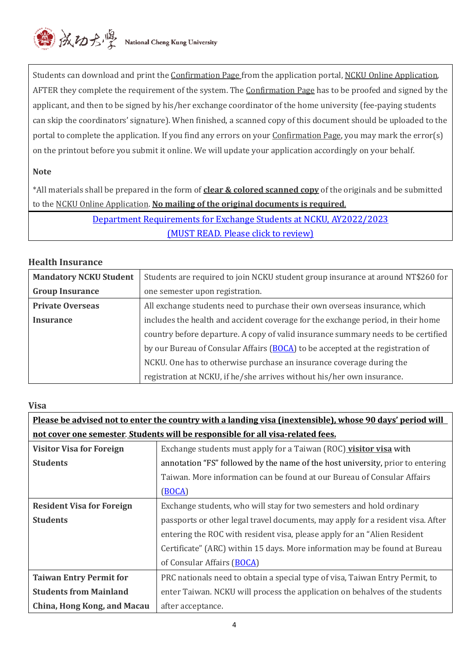

Students can download and print the Confirmation Page from the application portal, NCKU Online Application, AFTER they complete the requirement of the system. The *Confirmation Page* has to be proofed and signed by the applicant, and then to be signed by his/her exchange coordinator of the home university (fee-paying students can skip the coordinators' signature). When finished, a scanned copy of this document should be uploaded to the portal to complete the application. If you find any errors on your Confirmation Page, you may mark the error(s) on the printout before you submit it online. We will update your application accordingly on your behalf.

#### **Note**

\*All materials shall be prepared in the form of **clear & colored scanned copy** of the originals and be submitted to the NCKU Online Application. **No mailing of the original documents is required**.

> [Department Requirements for Exchange Students at NCKU, AY2022/2023](https://ird-oia.ncku.edu.tw/var/file/67/1067/img/2279/DepartmentrequirementsAY2022-23.pdf) [\(MUST READ. Please click to review\)](https://ird-oia.ncku.edu.tw/var/file/67/1067/img/2279/DepartmentrequirementsAY2022-23.pdf)

#### **Health Insurance**

| <b>Mandatory NCKU Student</b> | Students are required to join NCKU student group insurance at around NT\$260 for  |
|-------------------------------|-----------------------------------------------------------------------------------|
| <b>Group Insurance</b>        | one semester upon registration.                                                   |
| <b>Private Overseas</b>       | All exchange students need to purchase their own overseas insurance, which        |
| <b>Insurance</b>              | includes the health and accident coverage for the exchange period, in their home  |
|                               | country before departure. A copy of valid insurance summary needs to be certified |
|                               | by our Bureau of Consular Affairs (BOCA) to be accepted at the registration of    |
|                               | NCKU. One has to otherwise purchase an insurance coverage during the              |
|                               | registration at NCKU, if he/she arrives without his/her own insurance.            |

#### **Visa**

| Please be advised not to enter the country with a landing visa (inextensible), whose 90 days' period will |                                                                                 |  |
|-----------------------------------------------------------------------------------------------------------|---------------------------------------------------------------------------------|--|
| not cover one semester. Students will be responsible for all visa-related fees.                           |                                                                                 |  |
| <b>Visitor Visa for Foreign</b>                                                                           | Exchange students must apply for a Taiwan (ROC) visitor visa with               |  |
| <b>Students</b>                                                                                           | annotation "FS" followed by the name of the host university, prior to entering  |  |
|                                                                                                           | Taiwan. More information can be found at our Bureau of Consular Affairs         |  |
|                                                                                                           | (BOCA)                                                                          |  |
| <b>Resident Visa for Foreign</b>                                                                          | Exchange students, who will stay for two semesters and hold ordinary            |  |
| <b>Students</b>                                                                                           | passports or other legal travel documents, may apply for a resident visa. After |  |
|                                                                                                           | entering the ROC with resident visa, please apply for an "Alien Resident"       |  |
|                                                                                                           | Certificate" (ARC) within 15 days. More information may be found at Bureau      |  |
|                                                                                                           | of Consular Affairs (BOCA)                                                      |  |
| <b>Taiwan Entry Permit for</b>                                                                            | PRC nationals need to obtain a special type of visa, Taiwan Entry Permit, to    |  |
| <b>Students from Mainland</b>                                                                             | enter Taiwan. NCKU will process the application on behalves of the students     |  |
| China, Hong Kong, and Macau                                                                               | after acceptance.                                                               |  |